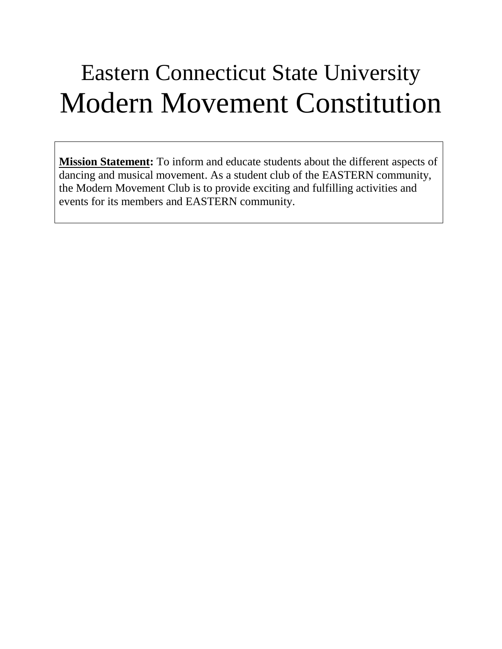# Eastern Connecticut State University Modern Movement Constitution

**Mission Statement:** To inform and educate students about the different aspects of dancing and musical movement. As a student club of the EASTERN community, the Modern Movement Club is to provide exciting and fulfilling activities and events for its members and EASTERN community.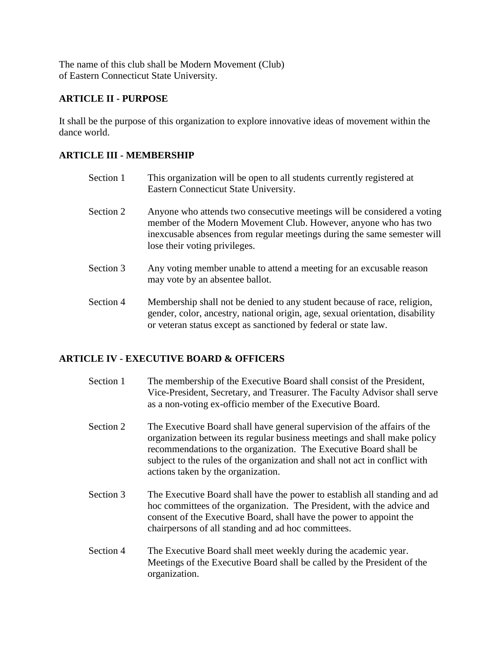The name of this club shall be Modern Movement (Club) of Eastern Connecticut State University.

## **ARTICLE II - PURPOSE**

It shall be the purpose of this organization to explore innovative ideas of movement within the dance world.

## **ARTICLE III - MEMBERSHIP**

- Section 1 This organization will be open to all students currently registered at Eastern Connecticut State University. Section 2 Anyone who attends two consecutive meetings will be considered a voting member of the Modern Movement Club. However, anyone who has two inexcusable absences from regular meetings during the same semester will lose their voting privileges.
- Section 3 Any voting member unable to attend a meeting for an excusable reason may vote by an absentee ballot.
- Section 4 Membership shall not be denied to any student because of race, religion, gender, color, ancestry, national origin, age, sexual orientation, disability or veteran status except as sanctioned by federal or state law.

#### **ARTICLE IV - EXECUTIVE BOARD & OFFICERS**

- Section 1 The membership of the Executive Board shall consist of the President, Vice-President, Secretary, and Treasurer. The Faculty Advisor shall serve as a non-voting ex-officio member of the Executive Board.
- Section 2 The Executive Board shall have general supervision of the affairs of the organization between its regular business meetings and shall make policy recommendations to the organization. The Executive Board shall be subject to the rules of the organization and shall not act in conflict with actions taken by the organization.
- Section 3 The Executive Board shall have the power to establish all standing and ad hoc committees of the organization. The President, with the advice and consent of the Executive Board, shall have the power to appoint the chairpersons of all standing and ad hoc committees.
- Section 4 The Executive Board shall meet weekly during the academic year. Meetings of the Executive Board shall be called by the President of the organization.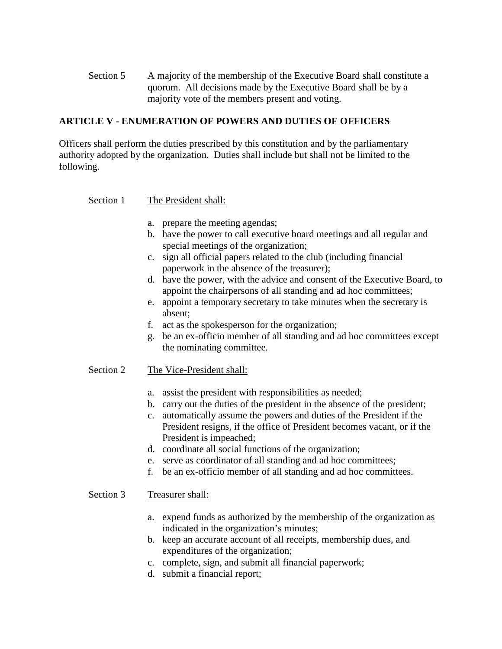Section 5 A majority of the membership of the Executive Board shall constitute a quorum. All decisions made by the Executive Board shall be by a majority vote of the members present and voting.

## **ARTICLE V - ENUMERATION OF POWERS AND DUTIES OF OFFICERS**

Officers shall perform the duties prescribed by this constitution and by the parliamentary authority adopted by the organization. Duties shall include but shall not be limited to the following.

#### Section 1 The President shall:

- a. prepare the meeting agendas;
- b. have the power to call executive board meetings and all regular and special meetings of the organization;
- c. sign all official papers related to the club (including financial paperwork in the absence of the treasurer);
- d. have the power, with the advice and consent of the Executive Board, to appoint the chairpersons of all standing and ad hoc committees;
- e. appoint a temporary secretary to take minutes when the secretary is absent;
- f. act as the spokesperson for the organization;
- g. be an ex-officio member of all standing and ad hoc committees except the nominating committee.

#### Section 2 The Vice-President shall:

- a. assist the president with responsibilities as needed;
- b. carry out the duties of the president in the absence of the president;
- c. automatically assume the powers and duties of the President if the President resigns, if the office of President becomes vacant, or if the President is impeached;
- d. coordinate all social functions of the organization;
- e. serve as coordinator of all standing and ad hoc committees;
- f. be an ex-officio member of all standing and ad hoc committees.

#### Section 3 Treasurer shall:

- a. expend funds as authorized by the membership of the organization as indicated in the organization's minutes;
- b. keep an accurate account of all receipts, membership dues, and expenditures of the organization;
- c. complete, sign, and submit all financial paperwork;
- d. submit a financial report;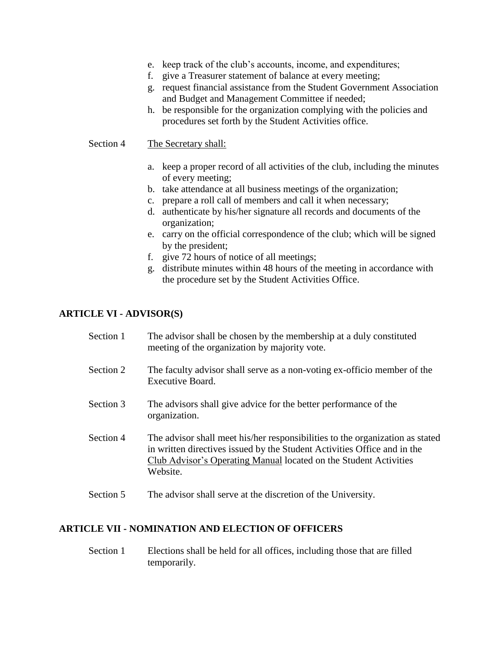- e. keep track of the club's accounts, income, and expenditures;
- f. give a Treasurer statement of balance at every meeting;
- g. request financial assistance from the Student Government Association and Budget and Management Committee if needed;
- h. be responsible for the organization complying with the policies and procedures set forth by the Student Activities office.

Section 4 The Secretary shall:

- a. keep a proper record of all activities of the club, including the minutes of every meeting;
- b. take attendance at all business meetings of the organization;
- c. prepare a roll call of members and call it when necessary;
- d. authenticate by his/her signature all records and documents of the organization;
- e. carry on the official correspondence of the club; which will be signed by the president;
- f. give 72 hours of notice of all meetings;
- g. distribute minutes within 48 hours of the meeting in accordance with the procedure set by the Student Activities Office.

#### **ARTICLE VI - ADVISOR(S)**

| Section 1 | The advisor shall be chosen by the membership at a duly constituted<br>meeting of the organization by majority vote.                                                                                                                       |
|-----------|--------------------------------------------------------------------------------------------------------------------------------------------------------------------------------------------------------------------------------------------|
| Section 2 | The faculty advisor shall serve as a non-voting ex-officio member of the<br>Executive Board.                                                                                                                                               |
| Section 3 | The advisors shall give advice for the better performance of the<br>organization.                                                                                                                                                          |
| Section 4 | The advisor shall meet his/her responsibilities to the organization as stated<br>in written directives issued by the Student Activities Office and in the<br>Club Advisor's Operating Manual located on the Student Activities<br>Website. |
| Section 5 | The advisor shall serve at the discretion of the University.                                                                                                                                                                               |

#### **ARTICLE VII - NOMINATION AND ELECTION OF OFFICERS**

Section 1 Elections shall be held for all offices, including those that are filled temporarily.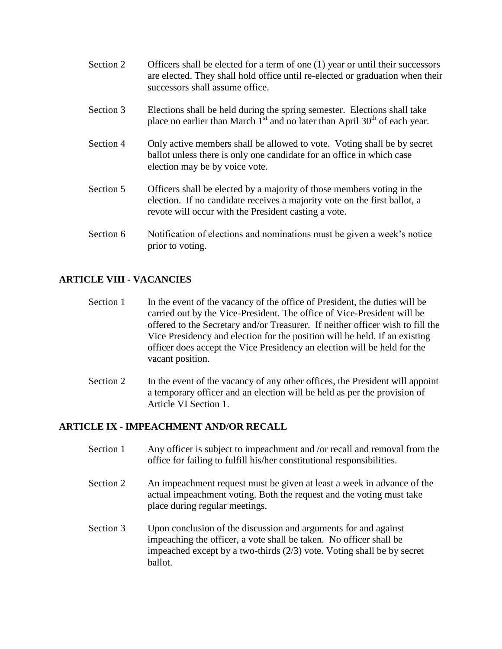- Section 2 Officers shall be elected for a term of one (1) year or until their successors are elected. They shall hold office until re-elected or graduation when their successors shall assume office.
- Section 3 Elections shall be held during the spring semester. Elections shall take place no earlier than March  $1<sup>st</sup>$  and no later than April 30<sup>th</sup> of each year.
- Section 4 Only active members shall be allowed to vote. Voting shall be by secret ballot unless there is only one candidate for an office in which case election may be by voice vote.
- Section 5 Officers shall be elected by a majority of those members voting in the election. If no candidate receives a majority vote on the first ballot, a revote will occur with the President casting a vote.
- Section 6 Notification of elections and nominations must be given a week's notice prior to voting.

## **ARTICLE VIII - VACANCIES**

- Section 1 In the event of the vacancy of the office of President, the duties will be carried out by the Vice-President. The office of Vice-President will be offered to the Secretary and/or Treasurer. If neither officer wish to fill the Vice Presidency and election for the position will be held. If an existing officer does accept the Vice Presidency an election will be held for the vacant position.
- Section 2 In the event of the vacancy of any other offices, the President will appoint a temporary officer and an election will be held as per the provision of Article VI Section 1.

## **ARTICLE IX - IMPEACHMENT AND/OR RECALL**

- Section 1 Any officer is subject to impeachment and /or recall and removal from the office for failing to fulfill his/her constitutional responsibilities.
- Section 2 An impeachment request must be given at least a week in advance of the actual impeachment voting. Both the request and the voting must take place during regular meetings.
- Section 3 Upon conclusion of the discussion and arguments for and against impeaching the officer, a vote shall be taken. No officer shall be impeached except by a two-thirds (2/3) vote. Voting shall be by secret ballot.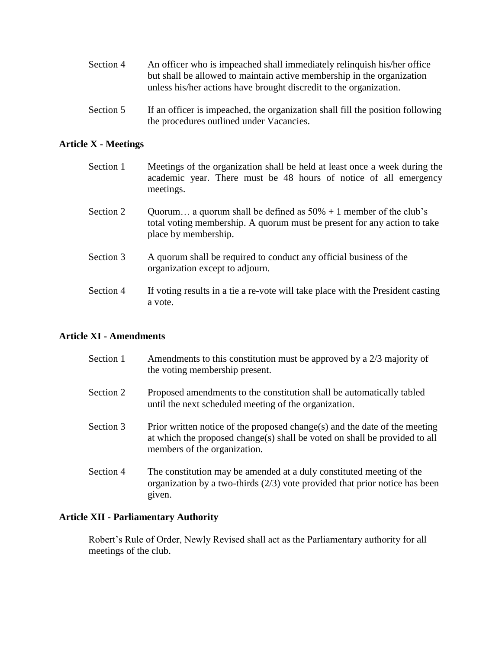| Section 4 | An officer who is impeached shall immediately relinquish his/her office |
|-----------|-------------------------------------------------------------------------|
|           | but shall be allowed to maintain active membership in the organization  |
|           | unless his/her actions have brought discredit to the organization.      |

Section 5 If an officer is impeached, the organization shall fill the position following the procedures outlined under Vacancies.

## **Article X - Meetings**

| Section 1 | Meetings of the organization shall be held at least once a week during the<br>academic year. There must be 48 hours of notice of all emergency<br>meetings.             |
|-----------|-------------------------------------------------------------------------------------------------------------------------------------------------------------------------|
| Section 2 | Quorum a quorum shall be defined as $50\% + 1$ member of the club's<br>total voting membership. A quorum must be present for any action to take<br>place by membership. |
| Section 3 | A quorum shall be required to conduct any official business of the<br>organization except to adjourn.                                                                   |

Section 4 If voting results in a tie a re-vote will take place with the President casting a vote.

#### **Article XI - Amendments**

| Section 1 | Amendments to this constitution must be approved by a 2/3 majority of<br>the voting membership present.                                                                                  |
|-----------|------------------------------------------------------------------------------------------------------------------------------------------------------------------------------------------|
| Section 2 | Proposed amendments to the constitution shall be automatically tabled<br>until the next scheduled meeting of the organization.                                                           |
| Section 3 | Prior written notice of the proposed change(s) and the date of the meeting<br>at which the proposed change(s) shall be voted on shall be provided to all<br>members of the organization. |
| Section 4 | The constitution may be amended at a duly constituted meeting of the<br>organization by a two-thirds $(2/3)$ vote provided that prior notice has been<br>given.                          |

#### **Article XII - Parliamentary Authority**

Robert's Rule of Order, Newly Revised shall act as the Parliamentary authority for all meetings of the club.